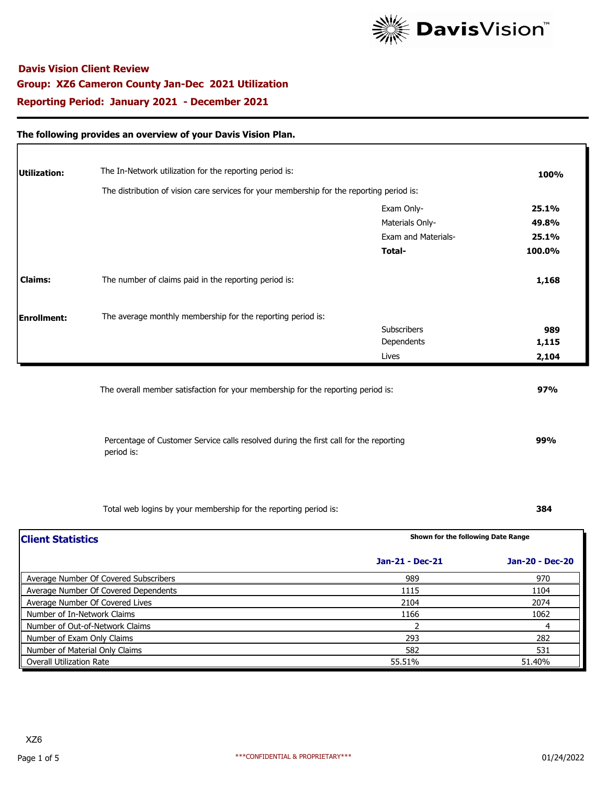

### **The following provides an overview of your Davis Vision Plan.**

| Utilization:   | The In-Network utilization for the reporting period is:                                   |                            | 100%   |
|----------------|-------------------------------------------------------------------------------------------|----------------------------|--------|
|                | The distribution of vision care services for your membership for the reporting period is: |                            |        |
|                |                                                                                           | Exam Only-                 | 25.1%  |
|                |                                                                                           | Materials Only-            | 49.8%  |
|                |                                                                                           | <b>Exam and Materials-</b> | 25.1%  |
|                |                                                                                           | Total-                     | 100.0% |
| <b>Claims:</b> | The number of claims paid in the reporting period is:                                     |                            | 1,168  |
| Enrollment:    | The average monthly membership for the reporting period is:                               |                            |        |
|                |                                                                                           | <b>Subscribers</b>         | 989    |
|                |                                                                                           | Dependents                 | 1,115  |
|                |                                                                                           | Lives                      | 2,104  |

Percentage of Customer Service calls resolved during the first call for the reporting period is:

Total web logins by your membership for the reporting period is: **384**

 **99%**

| <b>Client Statistics</b>              | Shown for the following Date Range |                 |  |
|---------------------------------------|------------------------------------|-----------------|--|
|                                       | Jan-21 - Dec-21                    | Jan-20 - Dec-20 |  |
| Average Number Of Covered Subscribers | 989                                | 970             |  |
| Average Number Of Covered Dependents  | 1115                               | 1104            |  |
| Average Number Of Covered Lives       | 2104                               | 2074            |  |
| Number of In-Network Claims           | 1166                               | 1062            |  |
| Number of Out-of-Network Claims       |                                    | 4               |  |
| Number of Exam Only Claims            | 293                                | 282             |  |
| Number of Material Only Claims        | 582                                | 531             |  |
| <b>Overall Utilization Rate</b>       | 55.51%                             | 51.40%          |  |

Г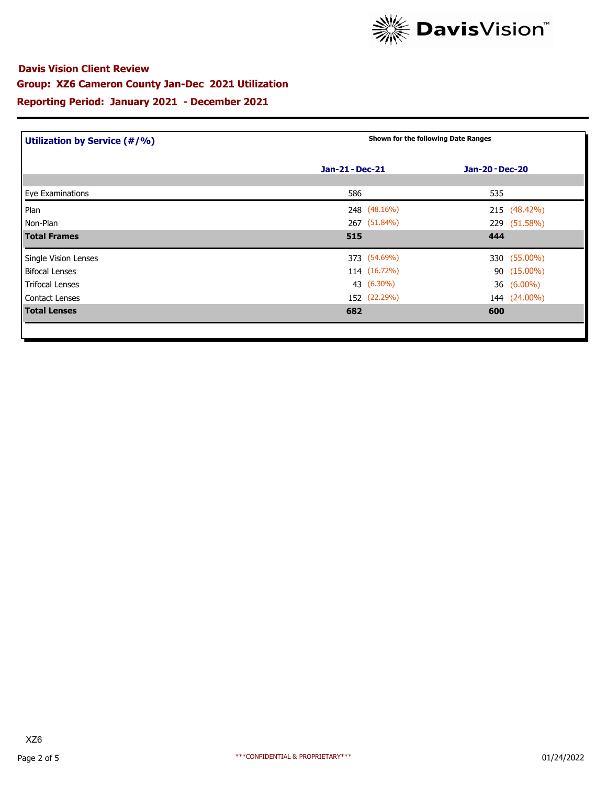

| Utilization by Service (#/%) | Shown for the following Date Ranges |                        |  |  |
|------------------------------|-------------------------------------|------------------------|--|--|
|                              | Jan-21 - Dec-21                     | <b>Jan-20 - Dec-20</b> |  |  |
| Eye Examinations             | 586                                 | 535                    |  |  |
| Plan                         | 248 (48.16%)                        | 215 (48.42%)           |  |  |
| Non-Plan                     | 267 (51.84%)                        | 229 (51.58%)           |  |  |
| <b>Total Frames</b>          | 515                                 | 444                    |  |  |
| Single Vision Lenses         | 373 (54.69%)                        | 330 (55.00%)           |  |  |
| <b>Bifocal Lenses</b>        | 114 (16.72%)                        | 90 (15.00%)            |  |  |
| <b>Trifocal Lenses</b>       | 43 (6.30%)                          | 36 (6.00%)             |  |  |
| Contact Lenses               | 152 (22.29%)                        | 144 (24.00%)           |  |  |
| <b>Total Lenses</b>          | 682                                 | 600                    |  |  |
|                              |                                     |                        |  |  |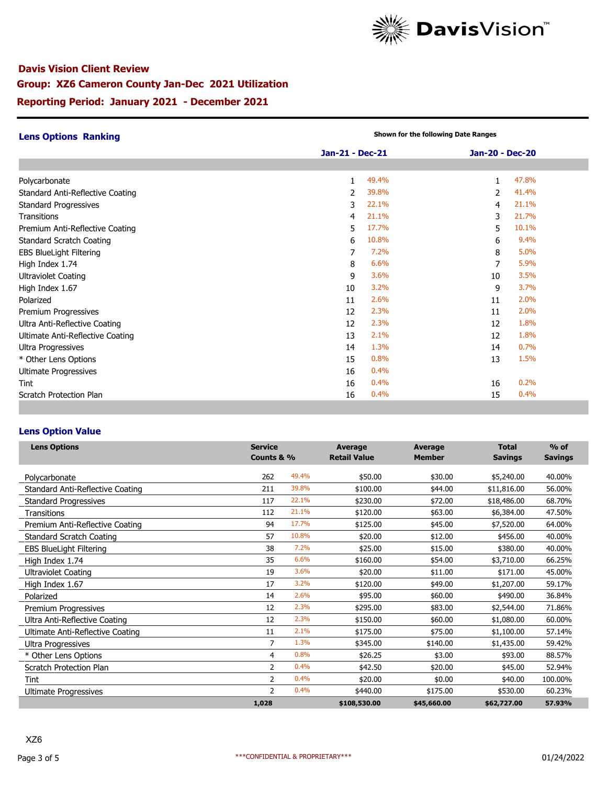

| <b>Lens Options Ranking</b>      | Shown for the following Date Ranges |       |                 |       |  |
|----------------------------------|-------------------------------------|-------|-----------------|-------|--|
|                                  | Jan-21 - Dec-21                     |       | Jan-20 - Dec-20 |       |  |
|                                  |                                     |       |                 |       |  |
| Polycarbonate                    | 1                                   | 49.4% | $\mathbf{1}$    | 47.8% |  |
| Standard Anti-Reflective Coating | 2                                   | 39.8% | 2               | 41.4% |  |
| <b>Standard Progressives</b>     | 3                                   | 22.1% | 4               | 21.1% |  |
| <b>Transitions</b>               | 4                                   | 21.1% | 3               | 21.7% |  |
| Premium Anti-Reflective Coating  | 5.                                  | 17.7% | 5.              | 10.1% |  |
| <b>Standard Scratch Coating</b>  | 6                                   | 10.8% | 6               | 9.4%  |  |
| <b>EBS BlueLight Filtering</b>   | 7                                   | 7.2%  | 8               | 5.0%  |  |
| High Index 1.74                  | 8                                   | 6.6%  | 7               | 5.9%  |  |
| <b>Ultraviolet Coating</b>       | 9                                   | 3.6%  | 10              | 3.5%  |  |
| High Index 1.67                  | 10                                  | 3.2%  | 9               | 3.7%  |  |
| Polarized                        | 11                                  | 2.6%  | 11              | 2.0%  |  |
| Premium Progressives             | 12                                  | 2.3%  | 11              | 2.0%  |  |
| Ultra Anti-Reflective Coating    | 12                                  | 2.3%  | 12              | 1.8%  |  |
| Ultimate Anti-Reflective Coating | 13                                  | 2.1%  | 12              | 1.8%  |  |
| Ultra Progressives               | 14                                  | 1.3%  | 14              | 0.7%  |  |
| * Other Lens Options             | 15                                  | 0.8%  | 13              | 1.5%  |  |
| <b>Ultimate Progressives</b>     | 16                                  | 0.4%  |                 |       |  |
| Tint                             | 16                                  | 0.4%  | 16              | 0.2%  |  |
| Scratch Protection Plan          | 16                                  | 0.4%  | 15              | 0.4%  |  |

### **Lens Option Value**

| <b>Lens Options</b>              | <b>Service</b><br>Counts & % |       | <b>Average</b><br><b>Retail Value</b> | <b>Average</b><br><b>Member</b> | <b>Total</b><br><b>Savings</b> | $%$ of<br><b>Savings</b> |
|----------------------------------|------------------------------|-------|---------------------------------------|---------------------------------|--------------------------------|--------------------------|
| Polycarbonate                    | 262                          | 49.4% | \$50.00                               | \$30.00                         | \$5,240.00                     | 40.00%                   |
| Standard Anti-Reflective Coating | 211                          | 39.8% | \$100.00                              | \$44.00                         | \$11,816.00                    | 56.00%                   |
| <b>Standard Progressives</b>     | 117                          | 22.1% | \$230.00                              | \$72.00                         | \$18,486.00                    | 68.70%                   |
| Transitions                      | 112                          | 21.1% | \$120.00                              | \$63.00                         | \$6,384.00                     | 47.50%                   |
| Premium Anti-Reflective Coating  | 94                           | 17.7% | \$125.00                              | \$45.00                         | \$7,520.00                     | 64.00%                   |
| <b>Standard Scratch Coating</b>  | 57                           | 10.8% | \$20.00                               | \$12.00                         | \$456.00                       | 40.00%                   |
| <b>EBS BlueLight Filtering</b>   | 38                           | 7.2%  | \$25.00                               | \$15.00                         | \$380.00                       | 40.00%                   |
| High Index 1.74                  | 35                           | 6.6%  | \$160.00                              | \$54.00                         | \$3,710.00                     | 66.25%                   |
| Ultraviolet Coating              | 19                           | 3.6%  | \$20.00                               | \$11.00                         | \$171.00                       | 45.00%                   |
| High Index 1.67                  | 17                           | 3.2%  | \$120.00                              | \$49.00                         | \$1,207.00                     | 59.17%                   |
| Polarized                        | 14                           | 2.6%  | \$95.00                               | \$60.00                         | \$490.00                       | 36.84%                   |
| Premium Progressives             | 12                           | 2.3%  | \$295.00                              | \$83.00                         | \$2,544.00                     | 71.86%                   |
| Ultra Anti-Reflective Coating    | 12                           | 2.3%  | \$150.00                              | \$60.00                         | \$1,080.00                     | 60.00%                   |
| Ultimate Anti-Reflective Coating | 11                           | 2.1%  | \$175.00                              | \$75.00                         | \$1,100.00                     | 57.14%                   |
| Ultra Progressives               | $\overline{7}$               | 1.3%  | \$345.00                              | \$140.00                        | \$1,435.00                     | 59.42%                   |
| * Other Lens Options             | 4                            | 0.8%  | \$26.25                               | \$3.00                          | \$93.00                        | 88.57%                   |
| Scratch Protection Plan          | 2                            | 0.4%  | \$42.50                               | \$20.00                         | \$45.00                        | 52.94%                   |
| <b>Tint</b>                      | $\overline{2}$               | 0.4%  | \$20.00                               | \$0.00                          | \$40.00                        | 100.00%                  |
| Ultimate Progressives            | $\overline{2}$               | 0.4%  | \$440.00                              | \$175.00                        | \$530.00                       | 60.23%                   |
|                                  | 1,028                        |       | \$108,530.00                          | \$45,660.00                     | \$62,727.00                    | 57.93%                   |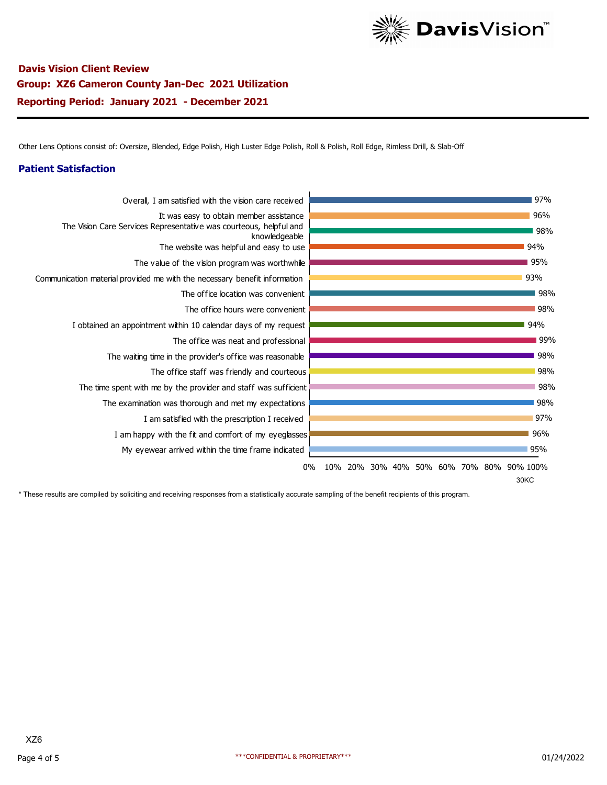

Other Lens Options consist of: Oversize, Blended, Edge Polish, High Luster Edge Polish, Roll & Polish, Roll Edge, Rimless Drill, & Slab-Off

### **Patient Satisfaction**



\* These results are compiled by soliciting and receiving responses from a statistically accurate sampling of the benefit recipients of this program.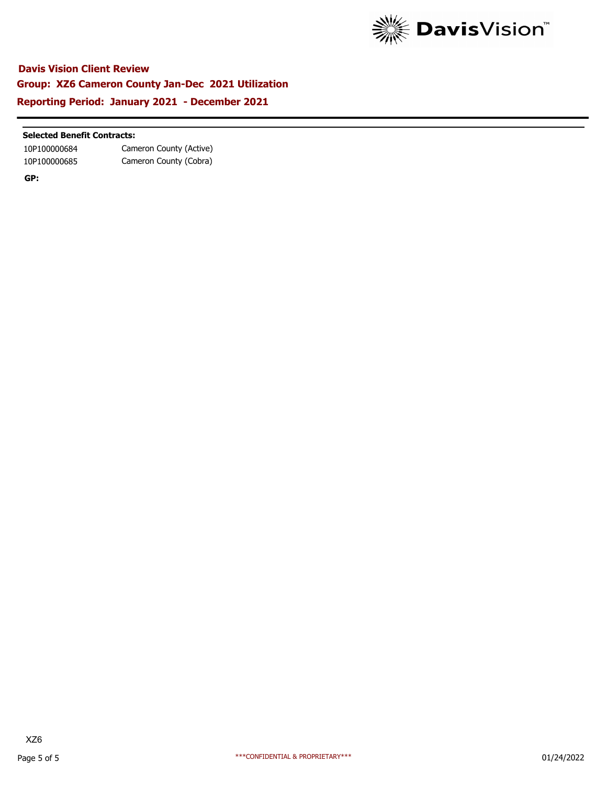

### **Selected Benefit Contracts:**

10P100000684 Cameron County (Active) 10P100000685 Cameron County (Cobra)

**GP:**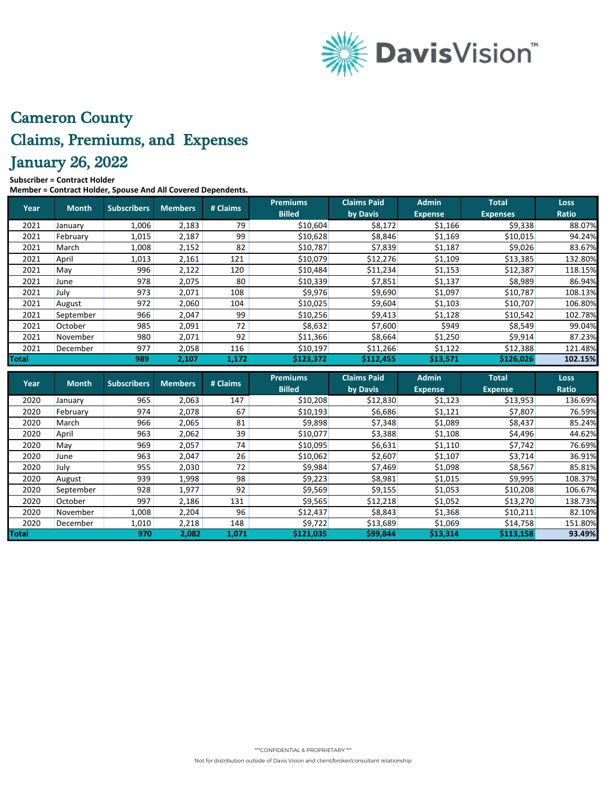

# Cameron County Claims, Premiums, and Expenses January 26, 2022

#### **Subscriber = Contract Holder**

**Member = Contract Holder, Spouse And All Covered Dependents.**

| Year  | <b>Month</b> | <b>Subscribers</b> | Members | # Claims | <b>Premiums</b><br><b>Billed</b> | <b>Claims Paid</b><br>by Davis | <b>Admin</b><br><b>Expense</b> | <b>Total</b><br><b>Expenses</b> | <b>Loss</b><br>Ratio |
|-------|--------------|--------------------|---------|----------|----------------------------------|--------------------------------|--------------------------------|---------------------------------|----------------------|
| 2021  | January      | 1,006              | 2,183   | 79       | \$10,604                         | \$8,172                        | \$1,166                        | \$9,338                         | 88.07%               |
| 2021  | February     | 1,015              | 2,187   | 99       | \$10,628                         | \$8,846                        | \$1,169                        | \$10,015                        | 94.24%               |
| 2021  | March        | 1,008              | 2,152   | 82       | \$10,787                         | \$7,839                        | \$1,187                        | \$9,026                         | 83.67%               |
| 2021  | April        | 1,013              | 2,161   | 121      | \$10,079                         | \$12,276                       | \$1,109                        | \$13,385                        | 132.80%              |
| 2021  | May          | 996                | 2,122   | 120      | \$10,484                         | \$11,234                       | \$1,153                        | \$12,387                        | 118.15%              |
| 2021  | June         | 978                | 2,075   | 80       | \$10,339                         | \$7,851                        | \$1,137                        | \$8,989                         | 86.94%               |
| 2021  | July         | 973                | 2,071   | 108      | \$9,976                          | \$9,690                        | \$1,097                        | \$10,787                        | 108.13%              |
| 2021  | August       | 972                | 2,060   | 104      | \$10,025                         | \$9,604                        | \$1,103                        | \$10,707                        | 106.80%              |
| 2021  | September    | 966                | 2,047   | 99       | \$10,256                         | \$9,413                        | \$1,128                        | \$10,542                        | 102.78%              |
| 2021  | October      | 985                | 2,091   | 72       | \$8,632                          | \$7,600                        | \$949                          | \$8,549                         | 99.04%               |
| 2021  | November     | 980                | 2,071   | 92       | \$11,366                         | \$8,664                        | \$1,250                        | \$9,914                         | 87.23%               |
| 2021  | December     | 977                | 2,058   | 116      | \$10,197                         | \$11,266                       | \$1,122                        | \$12,388                        | 121.48%              |
| Total |              | 989                | 2,107   | 1,172    | \$123,372                        | \$112,455                      | \$13,571                       | \$126,026                       | 102.15%              |

| <b>Year</b>  | <b>Month</b> | <b>Subscribers</b> | <b>Members</b> | # Claims | <b>Premiums</b><br><b>Billed</b> | <b>Claims Paid</b><br>by Davis | <b>Admin</b><br><b>Expense</b> | <b>Total</b><br><b>Expense</b> | Loss<br>Ratio |
|--------------|--------------|--------------------|----------------|----------|----------------------------------|--------------------------------|--------------------------------|--------------------------------|---------------|
| 2020         | January      | 965                | 2,063          | 147      | \$10,208                         | \$12,830                       | \$1,123                        | \$13,953                       | 136.69%       |
| 2020         | February     | 974                | 2,078          | 67       | \$10,193                         | \$6,686                        | \$1,121                        | \$7,807                        | 76.59%        |
| 2020         | March        | 966                | 2,065          | 81       | \$9,898                          | \$7,348                        | \$1,089                        | \$8,437                        | 85.24%        |
| 2020         | April        | 963                | 2,062          | 39       | \$10,077                         | \$3,388                        | \$1,108                        | \$4,496                        | 44.62%        |
| 2020         | Mav          | 969                | 2,057          | 74       | \$10,095                         | \$6,631                        | \$1,110                        | \$7,742                        | 76.69%        |
| 2020         | June         | 963                | 2,047          | 26       | \$10,062                         | \$2,607                        | \$1,107                        | \$3,714                        | 36.91%        |
| 2020         | July         | 955                | 2,030          | 72       | \$9,984                          | \$7,469                        | \$1,098                        | \$8,567                        | 85.81%        |
| 2020         | August       | 939                | 1,998          | 98       | \$9,223                          | \$8,981                        | \$1,015                        | \$9,995                        | 108.37%       |
| 2020         | September    | 928                | 1,977          | 92       | \$9,569                          | \$9,155                        | \$1,053                        | \$10,208                       | 106.67%       |
| 2020         | October      | 997                | 2,186          | 131      | \$9,565                          | \$12,218                       | \$1,052                        | \$13,270                       | 138.73%       |
| 2020         | November     | 1,008              | 2,204          | 96       | \$12,437                         | \$8,843                        | \$1,368                        | \$10,211                       | 82.10%        |
| 2020         | December     | 1,010              | 2,218          | 148      | \$9,722                          | \$13,689                       | \$1,069                        | \$14,758                       | 151.80%       |
| <b>Total</b> |              | 970                | 2,082          | 1,071    | \$121,035                        | \$99,844                       | \$13,314                       | \$113,158                      | 93.49%        |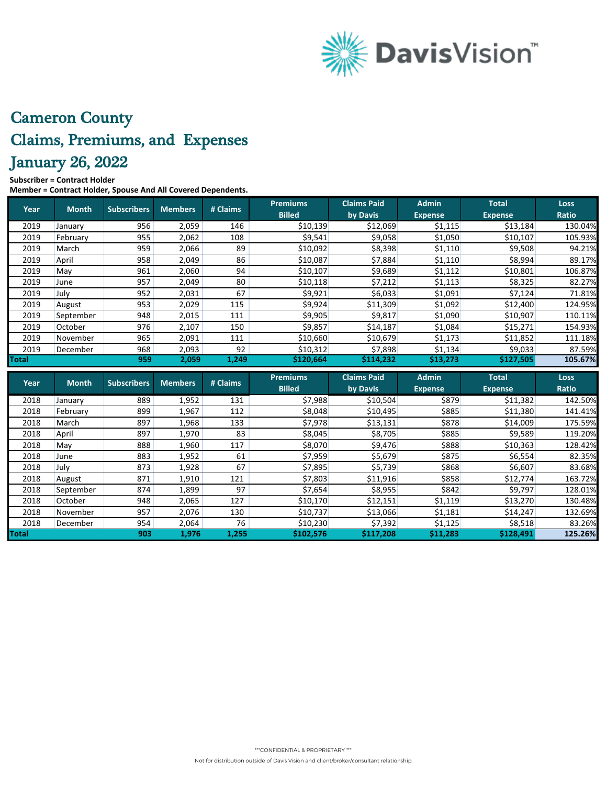

# Cameron County Claims, Premiums, and Expenses January 26, 2022

### **Subscriber = Contract Holder**

**Member = Contract Holder, Spouse And All Covered Dependents.**

| Year         | <b>Month</b> | <b>Subscribers</b> | <b>Members</b> | # Claims | <b>Premiums</b><br><b>Billed</b> | <b>Claims Paid</b><br>by Davis | <b>Admin</b><br><b>Expense</b> | <b>Total</b><br><b>Expense</b> | <b>Loss</b><br>Ratio |
|--------------|--------------|--------------------|----------------|----------|----------------------------------|--------------------------------|--------------------------------|--------------------------------|----------------------|
| 2019         | January      | 956                | 2,059          | 146      | \$10,139                         | \$12,069                       | \$1,115                        | \$13,184                       | 130.04%              |
| 2019         | February     | 955                | 2,062          | 108      | \$9,541                          | \$9,058                        | \$1,050                        | \$10,107                       | 105.93%              |
| 2019         | March        | 959                | 2,066          | 89       | \$10,092                         | \$8,398                        | \$1,110                        | \$9,508                        | 94.21%               |
| 2019         | April        | 958                | 2,049          | 86       | \$10,087                         | \$7,884                        | \$1,110                        | \$8,994                        | 89.17%               |
| 2019         | May          | 961                | 2,060          | 94       | \$10,107                         | \$9,689                        | \$1,112                        | \$10,801                       | 106.87%              |
| 2019         | June         | 957                | 2,049          | 80       | \$10,118                         | \$7,212                        | \$1,113                        | \$8,325                        | 82.27%               |
| 2019         | July         | 952                | 2,031          | 67       | \$9,921                          | \$6,033                        | \$1,091                        | \$7,124                        | 71.81%               |
| 2019         | August       | 953                | 2,029          | 115      | \$9,924                          | \$11,309                       | \$1,092                        | \$12,400                       | 124.95%              |
| 2019         | September    | 948                | 2,015          | 111      | \$9,905                          | \$9,817                        | \$1,090                        | \$10,907                       | 110.11%              |
| 2019         | October      | 976                | 2,107          | 150      | \$9,857                          | \$14,187                       | \$1,084                        | \$15,271                       | 154.93%              |
| 2019         | November     | 965                | 2,091          | 111      | \$10,660                         | \$10,679                       | \$1,173                        | \$11,852                       | 111.18%              |
| 2019         | December     | 968                | 2,093          | 92       | \$10,312                         | \$7,898                        | \$1,134                        | \$9,033                        | 87.59%               |
| <b>Total</b> |              | 959                | 2,059          | 1,249    | \$120,664                        | \$114,232                      | \$13,273                       | \$127,505                      | 105.67%              |
|              |              |                    |                |          |                                  |                                |                                |                                |                      |
|              |              |                    |                |          | <b>Premiums</b>                  | <b>Claims Paid</b>             | <b>Admin</b>                   | <b>Total</b>                   | <b>Loss</b>          |
| Year         | <b>Month</b> | <b>Subscribers</b> | <b>Members</b> | # Claims | <b>Billed</b>                    | by Davis                       | <b>Expense</b>                 | <b>Expense</b>                 | <b>Ratio</b>         |
| 2018         | January      | 889                | 1,952          | 131      | \$7,988                          | \$10,504                       | \$879                          | \$11,382                       |                      |
| 2018         | February     | 899                | 1,967          | 112      | \$8,048                          | \$10,495                       | \$885                          | \$11,380                       | 142.50%<br>141.41%   |
| 2018         | March        | 897                | 1,968          | 133      | \$7,978                          | \$13,131                       | \$878                          | \$14,009                       |                      |
| 2018         | April        | 897                | 1,970          | 83       | \$8,045                          | \$8,705                        | \$885                          | \$9,589                        | 175.59%<br>119.20%   |
| 2018         | May          | 888                | 1,960          | 117      | \$8,070                          | \$9,476                        | \$888                          | \$10,363                       |                      |
| 2018         | June         | 883                | 1,952          | 61       | \$7,959                          | \$5,679                        | \$875                          | \$6,554                        | 128.42%<br>82.35%    |
| 2018         | July         | 873                | 1,928          | 67       | \$7,895                          | \$5,739                        | \$868                          | \$6,607                        |                      |
| 2018         | August       | 871                | 1,910          | 121      | \$7,803                          | \$11,916                       | \$858                          | \$12,774                       | 83.68%<br>163.72%    |
| 2018         | September    | 874                | 1,899          | 97       | \$7,654                          | \$8,955                        | \$842                          | \$9,797                        | 128.01%              |
| 2018         | October      | 948                | 2,065          | 127      | \$10,170                         | \$12,151                       | \$1,119                        | \$13,270                       | 130.48%              |
| 2018         | November     | 957                | 2,076          | 130      | \$10,737                         | \$13,066                       | \$1,181                        | \$14,247                       | 132.69%              |
| 2018         | December     | 954                | 2,064          | 76       | \$10,230                         | \$7,392                        | \$1,125                        | \$8,518                        | 83.26%               |